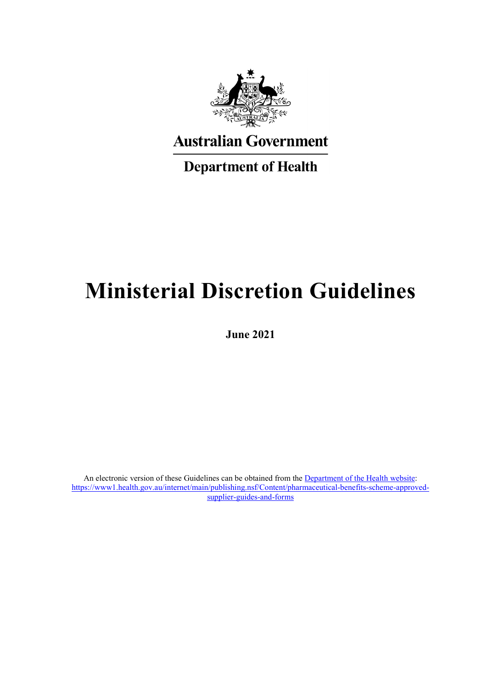

**Australian Government** 

**Department of Health** 

# **Ministerial Discretion Guidelines**

**June 2021**

An electronic version of these Guidelines can be obtained from the **Department of the Health website:** [https://www1.health.gov.au/internet/main/publishing.nsf/Content/pharmaceutical-benefits-scheme-approved](https://www1.health.gov.au/internet/main/publishing.nsf/Content/pharmaceutical-benefits-scheme-approved-supplier-guides-and-forms)[supplier-guides-and-forms](https://www1.health.gov.au/internet/main/publishing.nsf/Content/pharmaceutical-benefits-scheme-approved-supplier-guides-and-forms)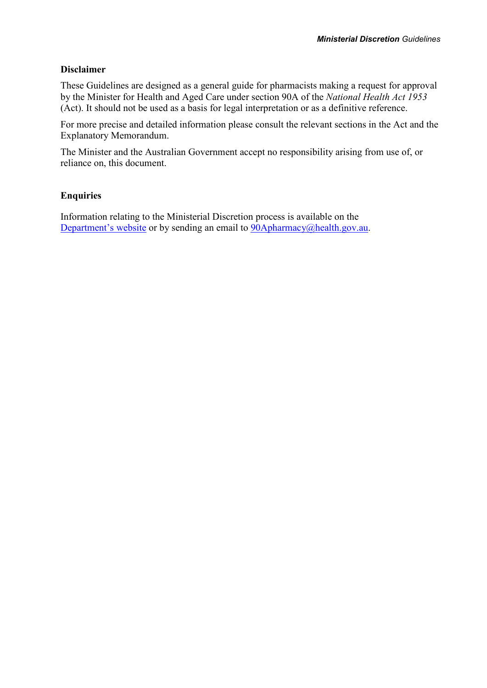#### **Disclaimer**

These Guidelines are designed as a general guide for pharmacists making a request for approval by the Minister for Health and Aged Care under section 90A of the *National Health Act 1953* (Act). It should not be used as a basis for legal interpretation or as a definitive reference.

For more precise and detailed information please consult the relevant sections in the Act and the Explanatory Memorandum.

The Minister and the Australian Government accept no responsibility arising from use of, or reliance on, this document.

#### **Enquiries**

Information relating to the Ministerial Discretion process is available on the [Department's](mailto:Department%E2%80%99s%C2%A0website) website or by sending an email to [90Apharmacy@health.gov.au.](mailto:90Apharmacy@health.gov.au)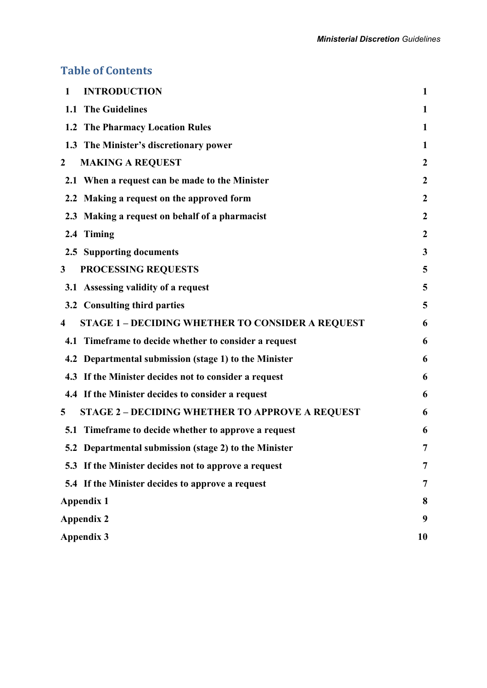# **Table of Contents**

| <b>INTRODUCTION</b><br>1                                     | $\mathbf{1}$     |
|--------------------------------------------------------------|------------------|
| 1.1 The Guidelines                                           | 1                |
| 1.2 The Pharmacy Location Rules                              | 1                |
| 1.3 The Minister's discretionary power                       | $\mathbf{1}$     |
| <b>MAKING A REQUEST</b><br>$\mathbf 2$                       | $\boldsymbol{2}$ |
| 2.1 When a request can be made to the Minister               | $\boldsymbol{2}$ |
| 2.2 Making a request on the approved form                    | $\boldsymbol{2}$ |
| 2.3 Making a request on behalf of a pharmacist               | $\boldsymbol{2}$ |
| 2.4 Timing                                                   | $\boldsymbol{2}$ |
| 2.5 Supporting documents                                     | 3                |
| PROCESSING REQUESTS<br>3                                     | 5                |
| 3.1 Assessing validity of a request                          | 5                |
| 3.2 Consulting third parties                                 | 5                |
| <b>STAGE 1 - DECIDING WHETHER TO CONSIDER A REQUEST</b><br>4 | 6                |
| 4.1 Timeframe to decide whether to consider a request        | 6                |
| 4.2 Departmental submission (stage 1) to the Minister        | 6                |
| 4.3 If the Minister decides not to consider a request        | 6                |
| 4.4 If the Minister decides to consider a request            | 6                |
| <b>STAGE 2 - DECIDING WHETHER TO APPROVE A REQUEST</b><br>5  | 6                |
| 5.1 Timeframe to decide whether to approve a request         | 6                |
| 5.2 Departmental submission (stage 2) to the Minister        | 7                |
| 5.3 If the Minister decides not to approve a request         | 7                |
| 5.4 If the Minister decides to approve a request             | 7                |
| <b>Appendix 1</b>                                            | 8                |
| <b>Appendix 2</b>                                            | 9                |
| <b>Appendix 3</b>                                            | 10               |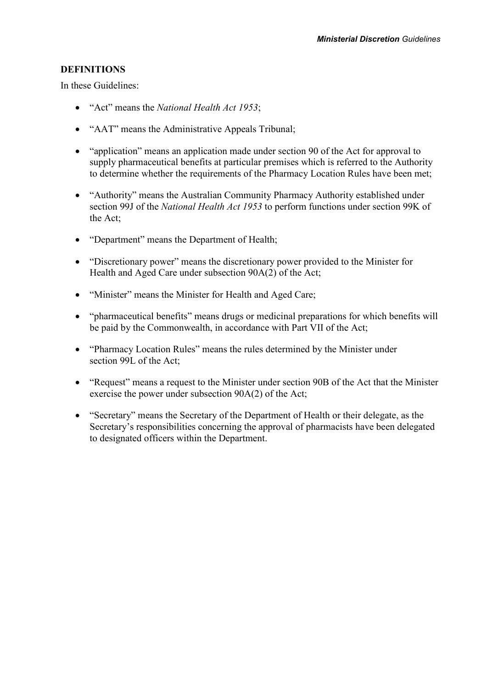#### **DEFINITIONS**

In these Guidelines:

- "Act" means the *National Health Act 1953*;
- "AAT" means the Administrative Appeals Tribunal;
- "application" means an application made under section 90 of the Act for approval to supply pharmaceutical benefits at particular premises which is referred to the Authority to determine whether the requirements of the Pharmacy Location Rules have been met;
- "Authority" means the Australian Community Pharmacy Authority established under section 99J of the *National Health Act 1953* to perform functions under section 99K of the Act;
- "Department" means the Department of Health;
- "Discretionary power" means the discretionary power provided to the Minister for Health and Aged Care under subsection 90A(2) of the Act;
- "Minister" means the Minister for Health and Aged Care;
- "pharmaceutical benefits" means drugs or medicinal preparations for which benefits will be paid by the Commonwealth, in accordance with Part VII of the Act;
- "Pharmacy Location Rules" means the rules determined by the Minister under section 99L of the Act;
- "Request" means a request to the Minister under section 90B of the Act that the Minister exercise the power under subsection 90A(2) of the Act;
- "Secretary" means the Secretary of the Department of Health or their delegate, as the Secretary's responsibilities concerning the approval of pharmacists have been delegated to designated officers within the Department.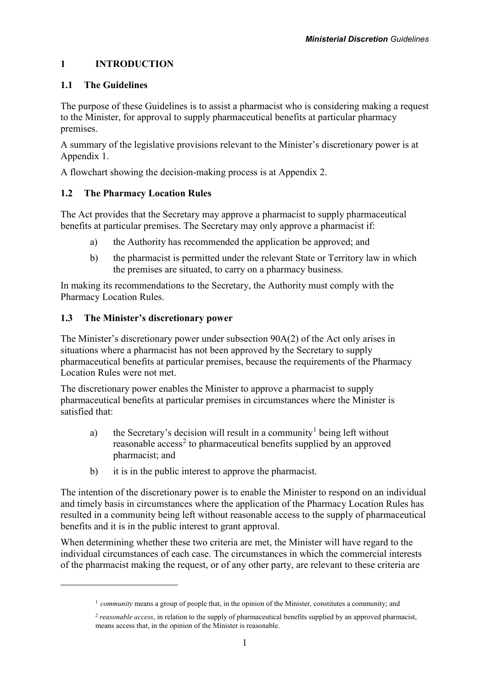## <span id="page-4-0"></span>**1 INTRODUCTION**

## <span id="page-4-1"></span>**1.1 The Guidelines**

The purpose of these Guidelines is to assist a pharmacist who is considering making a request to the Minister, for approval to supply pharmaceutical benefits at particular pharmacy premises.

A summary of the legislative provisions relevant to the Minister's discretionary power is at Appendix 1.

A flowchart showing the decision-making process is at Appendix 2.

## <span id="page-4-2"></span>**1.2 The Pharmacy Location Rules**

The Act provides that the Secretary may approve a pharmacist to supply pharmaceutical benefits at particular premises. The Secretary may only approve a pharmacist if:

- a) the Authority has recommended the application be approved; and
- b) the pharmacist is permitted under the relevant State or Territory law in which the premises are situated, to carry on a pharmacy business.

In making its recommendations to the Secretary, the Authority must comply with the Pharmacy Location Rules.

## <span id="page-4-3"></span>**1.3 The Minister's discretionary power**

<span id="page-4-5"></span><span id="page-4-4"></span> $\overline{a}$ 

The Minister's discretionary power under subsection 90A(2) of the Act only arises in situations where a pharmacist has not been approved by the Secretary to supply pharmaceutical benefits at particular premises, because the requirements of the Pharmacy Location Rules were not met.

The discretionary power enables the Minister to approve a pharmacist to supply pharmaceutical benefits at particular premises in circumstances where the Minister is satisfied that:

- a) the Secretary's decision will result in a community<sup>[1](#page-4-4)</sup> being left without reasonable access<sup>[2](#page-4-5)</sup> to pharmaceutical benefits supplied by an approved pharmacist; and
- b) it is in the public interest to approve the pharmacist.

The intention of the discretionary power is to enable the Minister to respond on an individual and timely basis in circumstances where the application of the Pharmacy Location Rules has resulted in a community being left without reasonable access to the supply of pharmaceutical benefits and it is in the public interest to grant approval.

When determining whether these two criteria are met, the Minister will have regard to the individual circumstances of each case. The circumstances in which the commercial interests of the pharmacist making the request, or of any other party, are relevant to these criteria are

<sup>1</sup> *community* means a group of people that, in the opinion of the Minister, constitutes a community; and

<sup>2</sup> *reasonable access*, in relation to the supply of pharmaceutical benefits supplied by an approved pharmacist, means access that, in the opinion of the Minister is reasonable.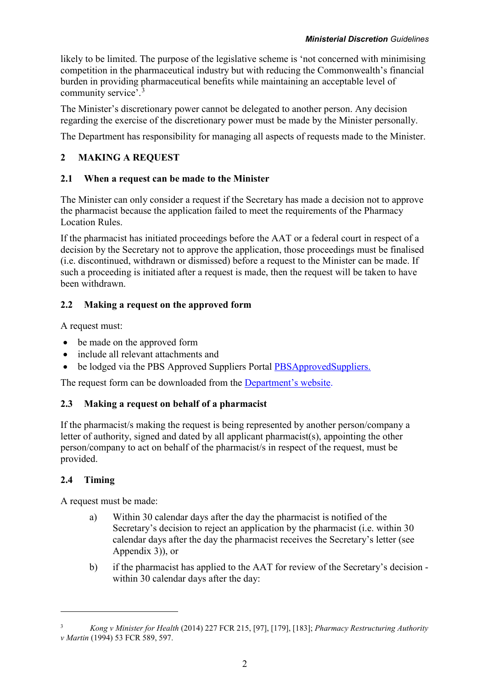likely to be limited. The purpose of the legislative scheme is 'not concerned with minimising competition in the pharmaceutical industry but with reducing the Commonwealth's financial burden in providing pharmaceutical benefits while maintaining an acceptable level of community service'.[3](#page-5-5)

The Minister's discretionary power cannot be delegated to another person. Any decision regarding the exercise of the discretionary power must be made by the Minister personally.

The Department has responsibility for managing all aspects of requests made to the Minister.

# <span id="page-5-0"></span>**2 MAKING A REQUEST**

## <span id="page-5-1"></span>**2.1 When a request can be made to the Minister**

The Minister can only consider a request if the Secretary has made a decision not to approve the pharmacist because the application failed to meet the requirements of the Pharmacy Location Rules.

If the pharmacist has initiated proceedings before the AAT or a federal court in respect of a decision by the Secretary not to approve the application, those proceedings must be finalised (i.e. discontinued, withdrawn or dismissed) before a request to the Minister can be made. If such a proceeding is initiated after a request is made, then the request will be taken to have been withdrawn.

# <span id="page-5-2"></span>**2.2 Making a request on the approved form**

A request must:

- be made on the approved form
- include all relevant attachments and
- be lodged via the PBS Approved Suppliers Portal [PBSApprovedSuppliers.](http://pbsapprovedsuppliers.health.gov.au/)

The request form can be downloaded from the [Department's](https://www1.health.gov.au/internet/main/publishing.nsf/Content/pharmaceutical-benefits-scheme-approved-supplier-guides-and-forms) website.

# <span id="page-5-3"></span>**2.3 Making a request on behalf of a pharmacist**

If the pharmacist/s making the request is being represented by another person/company a letter of authority, signed and dated by all applicant pharmacist(s), appointing the other person/company to act on behalf of the pharmacist/s in respect of the request, must be provided.

# <span id="page-5-4"></span>**2.4 Timing**

 $\overline{a}$ 

A request must be made:

- a) Within 30 calendar days after the day the pharmacist is notified of the Secretary's decision to reject an application by the pharmacist (i.e. within 30 calendar days after the day the pharmacist receives the Secretary's letter (see Appendix 3)), or
- b) if the pharmacist has applied to the AAT for review of the Secretary's decision within 30 calendar days after the day:

<span id="page-5-5"></span><sup>3</sup> *Kong v Minister for Health* (2014) 227 FCR 215, [97], [179], [183]; *Pharmacy Restructuring Authority v Martin* (1994) 53 FCR 589, 597.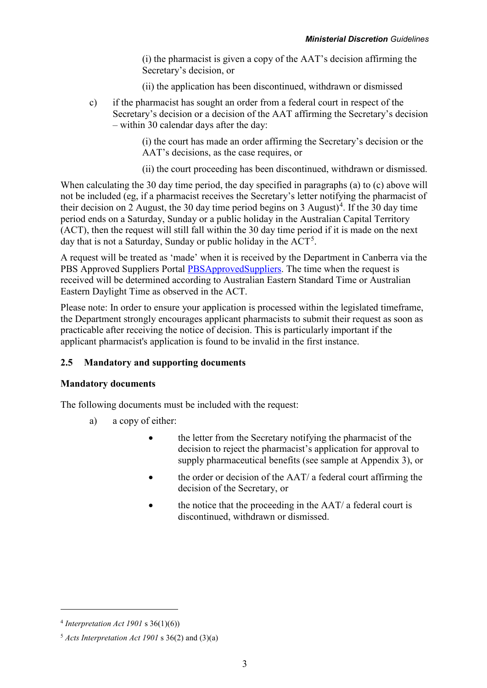(i) the pharmacist is given a copy of the AAT's decision affirming the Secretary's decision, or

(ii) the application has been discontinued, withdrawn or dismissed

c) if the pharmacist has sought an order from a federal court in respect of the Secretary's decision or a decision of the AAT affirming the Secretary's decision – within 30 calendar days after the day:

> (i) the court has made an order affirming the Secretary's decision or the AAT's decisions, as the case requires, or

(ii) the court proceeding has been discontinued, withdrawn or dismissed.

When calculating the 30 day time period, the day specified in paragraphs (a) to (c) above will not be included (eg, if a pharmacist receives the Secretary's letter notifying the pharmacist of their decision on 2 August, the 30 day time period begins on 3 August)<sup>[4](#page-6-1)</sup>. If the 30 day time period ends on a Saturday, Sunday or a public holiday in the Australian Capital Territory (ACT), then the request will still fall within the 30 day time period if it is made on the next day that is not a Saturday, Sunday or public holiday in the  $ACT<sup>5</sup>$  $ACT<sup>5</sup>$  $ACT<sup>5</sup>$ .

A request will be treated as 'made' when it is received by the Department in Canberra via the PBS Approved Suppliers Portal [PBSApprovedSuppliers.](http://pbsapprovedsuppliers.health.gov.au/) The time when the request is received will be determined according to Australian Eastern Standard Time or Australian Eastern Daylight Time as observed in the ACT.

Please note: In order to ensure your application is processed within the legislated timeframe, the Department strongly encourages applicant pharmacists to submit their request as soon as practicable after receiving the notice of decision. This is particularly important if the applicant pharmacist's application is found to be invalid in the first instance.

#### <span id="page-6-0"></span>**2.5 Mandatory and supporting documents**

#### **Mandatory documents**

The following documents must be included with the request:

- a) a copy of either:
	- the letter from the Secretary notifying the pharmacist of the decision to reject the pharmacist's application for approval to supply pharmaceutical benefits (see sample at Appendix 3), or
	- the order or decision of the AAT/ a federal court affirming the decision of the Secretary, or
	- the notice that the proceeding in the AAT/ a federal court is discontinued, withdrawn or dismissed.

 $\overline{a}$ 

<span id="page-6-1"></span><sup>4</sup> *Interpretation Act 1901* s 36(1)(6))

<span id="page-6-2"></span><sup>5</sup> *Acts Interpretation Act 1901* s 36(2) and (3)(a)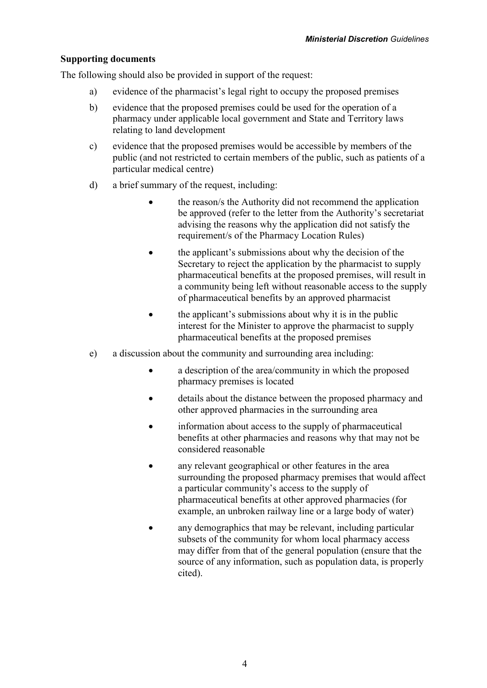## **Supporting documents**

The following should also be provided in support of the request:

- a) evidence of the pharmacist's legal right to occupy the proposed premises
- b) evidence that the proposed premises could be used for the operation of a pharmacy under applicable local government and State and Territory laws relating to land development
- c) evidence that the proposed premises would be accessible by members of the public (and not restricted to certain members of the public, such as patients of a particular medical centre)
- d) a brief summary of the request, including:
	- the reason/s the Authority did not recommend the application be approved (refer to the letter from the Authority's secretariat advising the reasons why the application did not satisfy the requirement/s of the Pharmacy Location Rules)
	- the applicant's submissions about why the decision of the Secretary to reject the application by the pharmacist to supply pharmaceutical benefits at the proposed premises, will result in a community being left without reasonable access to the supply of pharmaceutical benefits by an approved pharmacist
	- the applicant's submissions about why it is in the public interest for the Minister to approve the pharmacist to supply pharmaceutical benefits at the proposed premises
- <span id="page-7-0"></span>e) a discussion about the community and surrounding area including:
	- a description of the area/community in which the proposed pharmacy premises is located
	- details about the distance between the proposed pharmacy and other approved pharmacies in the surrounding area
	- information about access to the supply of pharmaceutical benefits at other pharmacies and reasons why that may not be considered reasonable
	- any relevant geographical or other features in the area surrounding the proposed pharmacy premises that would affect a particular community's access to the supply of pharmaceutical benefits at other approved pharmacies (for example, an unbroken railway line or a large body of water)
	- any demographics that may be relevant, including particular subsets of the community for whom local pharmacy access may differ from that of the general population (ensure that the source of any information, such as population data, is properly cited).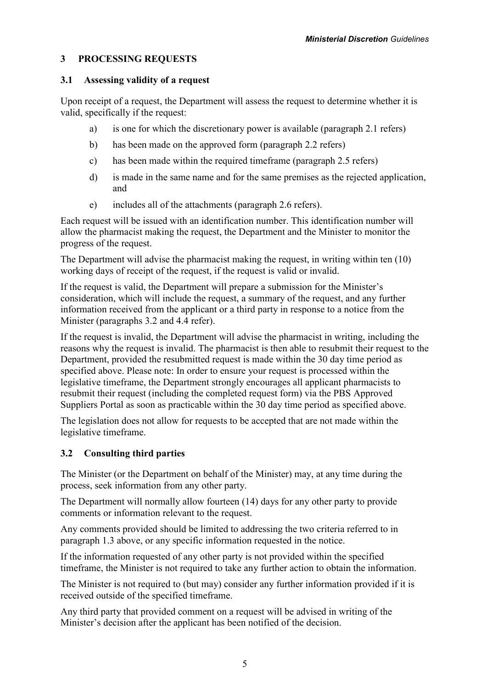## **3 PROCESSING REQUESTS**

#### <span id="page-8-0"></span>**3.1 Assessing validity of a request**

Upon receipt of a request, the Department will assess the request to determine whether it is valid, specifically if the request:

- a) is one for which the discretionary power is available (paragraph 2.1 refers)
- b) has been made on the approved form (paragraph 2.2 refers)
- c) has been made within the required timeframe (paragraph 2.5 refers)
- d) is made in the same name and for the same premises as the rejected application, and
- e) includes all of the attachments (paragraph 2.6 refers).

Each request will be issued with an identification number. This identification number will allow the pharmacist making the request, the Department and the Minister to monitor the progress of the request.

The Department will advise the pharmacist making the request, in writing within ten (10) working days of receipt of the request, if the request is valid or invalid.

If the request is valid, the Department will prepare a submission for the Minister's consideration, which will include the request, a summary of the request, and any further information received from the applicant or a third party in response to a notice from the Minister (paragraphs 3.2 and 4.4 refer).

If the request is invalid, the Department will advise the pharmacist in writing, including the reasons why the request is invalid. The pharmacist is then able to resubmit their request to the Department, provided the resubmitted request is made within the 30 day time period as specified above. Please note: In order to ensure your request is processed within the legislative timeframe, the Department strongly encourages all applicant pharmacists to resubmit their request (including the completed request form) via the PBS Approved Suppliers Portal as soon as practicable within the 30 day time period as specified above.

The legislation does not allow for requests to be accepted that are not made within the legislative timeframe.

## <span id="page-8-1"></span>**3.2 Consulting third parties**

The Minister (or the Department on behalf of the Minister) may, at any time during the process, seek information from any other party.

The Department will normally allow fourteen (14) days for any other party to provide comments or information relevant to the request.

Any comments provided should be limited to addressing the two criteria referred to in paragraph 1.3 above, or any specific information requested in the notice.

If the information requested of any other party is not provided within the specified timeframe, the Minister is not required to take any further action to obtain the information.

The Minister is not required to (but may) consider any further information provided if it is received outside of the specified timeframe.

Any third party that provided comment on a request will be advised in writing of the Minister's decision after the applicant has been notified of the decision.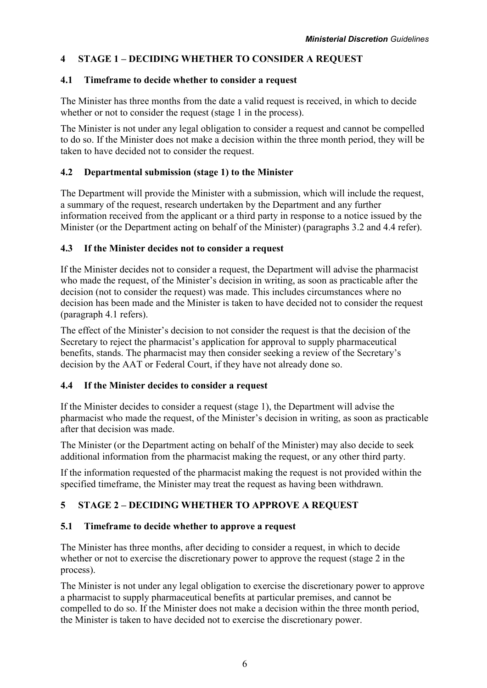# <span id="page-9-0"></span>**4 STAGE 1 – DECIDING WHETHER TO CONSIDER A REQUEST**

## <span id="page-9-1"></span>**4.1 Timeframe to decide whether to consider a request**

The Minister has three months from the date a valid request is received, in which to decide whether or not to consider the request (stage 1 in the process).

The Minister is not under any legal obligation to consider a request and cannot be compelled to do so. If the Minister does not make a decision within the three month period, they will be taken to have decided not to consider the request.

## <span id="page-9-2"></span>**4.2 Departmental submission (stage 1) to the Minister**

The Department will provide the Minister with a submission, which will include the request, a summary of the request, research undertaken by the Department and any further information received from the applicant or a third party in response to a notice issued by the Minister (or the Department acting on behalf of the Minister) (paragraphs 3.2 and 4.4 refer).

## <span id="page-9-3"></span>**4.3 If the Minister decides not to consider a request**

If the Minister decides not to consider a request, the Department will advise the pharmacist who made the request, of the Minister's decision in writing, as soon as practicable after the decision (not to consider the request) was made. This includes circumstances where no decision has been made and the Minister is taken to have decided not to consider the request (paragraph 4.1 refers).

The effect of the Minister's decision to not consider the request is that the decision of the Secretary to reject the pharmacist's application for approval to supply pharmaceutical benefits, stands. The pharmacist may then consider seeking a review of the Secretary's decision by the AAT or Federal Court, if they have not already done so.

## <span id="page-9-4"></span>**4.4 If the Minister decides to consider a request**

If the Minister decides to consider a request (stage 1), the Department will advise the pharmacist who made the request, of the Minister's decision in writing, as soon as practicable after that decision was made.

The Minister (or the Department acting on behalf of the Minister) may also decide to seek additional information from the pharmacist making the request, or any other third party.

If the information requested of the pharmacist making the request is not provided within the specified timeframe, the Minister may treat the request as having been withdrawn.

# <span id="page-9-5"></span>**5 STAGE 2 – DECIDING WHETHER TO APPROVE A REQUEST**

## <span id="page-9-6"></span>**5.1 Timeframe to decide whether to approve a request**

The Minister has three months, after deciding to consider a request, in which to decide whether or not to exercise the discretionary power to approve the request (stage 2 in the process).

The Minister is not under any legal obligation to exercise the discretionary power to approve a pharmacist to supply pharmaceutical benefits at particular premises, and cannot be compelled to do so. If the Minister does not make a decision within the three month period, the Minister is taken to have decided not to exercise the discretionary power.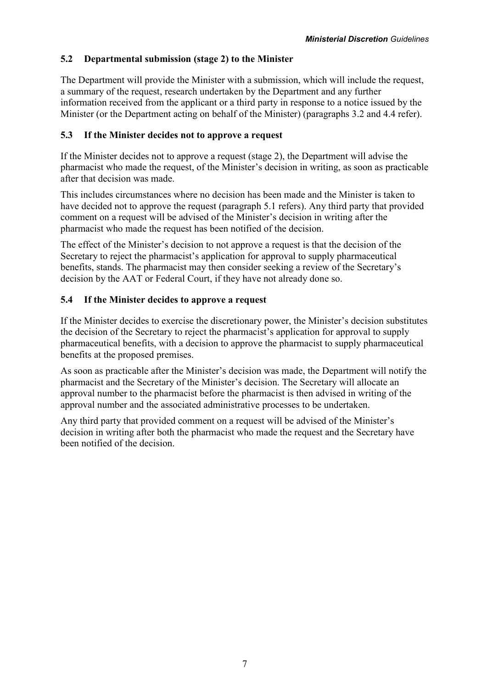## <span id="page-10-0"></span>**5.2 Departmental submission (stage 2) to the Minister**

The Department will provide the Minister with a submission, which will include the request, a summary of the request, research undertaken by the Department and any further information received from the applicant or a third party in response to a notice issued by the Minister (or the Department acting on behalf of the Minister) (paragraphs 3.2 and 4.4 refer).

## <span id="page-10-1"></span>**5.3 If the Minister decides not to approve a request**

If the Minister decides not to approve a request (stage 2), the Department will advise the pharmacist who made the request, of the Minister's decision in writing, as soon as practicable after that decision was made.

This includes circumstances where no decision has been made and the Minister is taken to have decided not to approve the request (paragraph 5.1 refers). Any third party that provided comment on a request will be advised of the Minister's decision in writing after the pharmacist who made the request has been notified of the decision.

The effect of the Minister's decision to not approve a request is that the decision of the Secretary to reject the pharmacist's application for approval to supply pharmaceutical benefits, stands. The pharmacist may then consider seeking a review of the Secretary's decision by the AAT or Federal Court, if they have not already done so.

## <span id="page-10-2"></span>**5.4 If the Minister decides to approve a request**

If the Minister decides to exercise the discretionary power, the Minister's decision substitutes the decision of the Secretary to reject the pharmacist's application for approval to supply pharmaceutical benefits, with a decision to approve the pharmacist to supply pharmaceutical benefits at the proposed premises.

As soon as practicable after the Minister's decision was made, the Department will notify the pharmacist and the Secretary of the Minister's decision. The Secretary will allocate an approval number to the pharmacist before the pharmacist is then advised in writing of the approval number and the associated administrative processes to be undertaken.

Any third party that provided comment on a request will be advised of the Minister's decision in writing after both the pharmacist who made the request and the Secretary have been notified of the decision.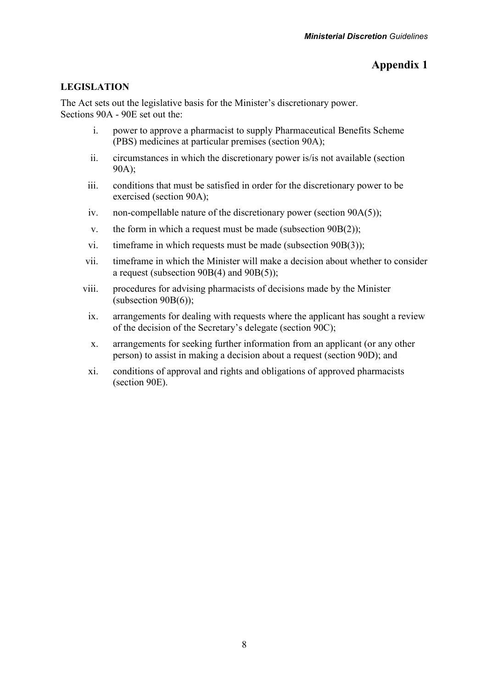# **Appendix 1**

## <span id="page-11-0"></span>**LEGISLATION**

The Act sets out the legislative basis for the Minister's discretionary power. Sections 90A - 90E set out the:

- i. power to approve a pharmacist to supply Pharmaceutical Benefits Scheme (PBS) medicines at particular premises (section 90A);
- ii. circumstances in which the discretionary power is/is not available (section 90A);
- iii. conditions that must be satisfied in order for the discretionary power to be exercised (section 90A);
- iv. non-compellable nature of the discretionary power (section 90A(5));
- v. the form in which a request must be made (subsection 90B(2));
- vi. timeframe in which requests must be made (subsection 90B(3));
- vii. timeframe in which the Minister will make a decision about whether to consider a request (subsection 90B(4) and 90B(5));
- viii. procedures for advising pharmacists of decisions made by the Minister (subsection 90B(6));
	- ix. arrangements for dealing with requests where the applicant has sought a review of the decision of the Secretary's delegate (section 90C);
	- x. arrangements for seeking further information from an applicant (or any other person) to assist in making a decision about a request (section 90D); and
- xi. conditions of approval and rights and obligations of approved pharmacists (section 90E).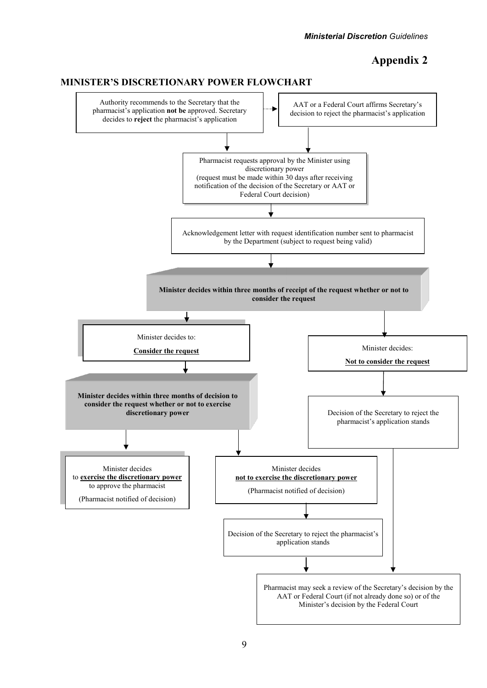# **Appendix 2**

<span id="page-12-1"></span>

#### <span id="page-12-0"></span>**MINISTER'S DISCRETIONARY POWER FLOWCHART**